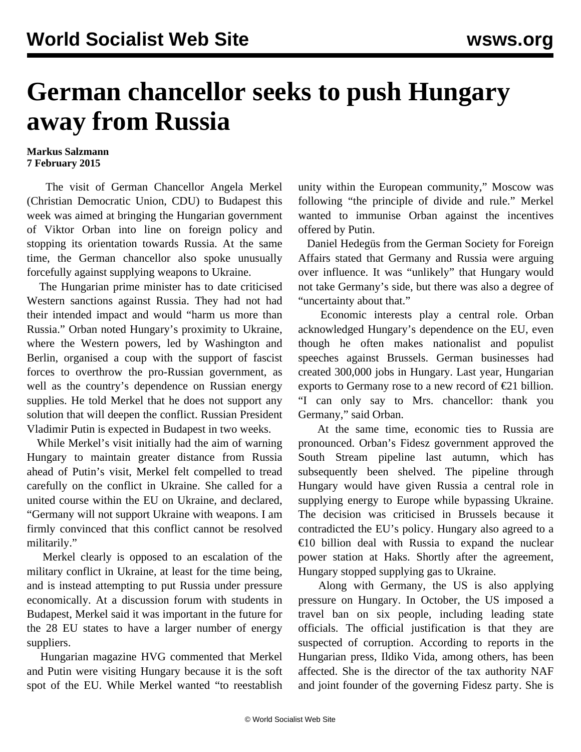## **German chancellor seeks to push Hungary away from Russia**

## **Markus Salzmann 7 February 2015**

 The visit of German Chancellor Angela Merkel (Christian Democratic Union, CDU) to Budapest this week was aimed at bringing the Hungarian government of Viktor Orban into line on foreign policy and stopping its orientation towards Russia. At the same time, the German chancellor also spoke unusually forcefully against supplying weapons to Ukraine.

 The Hungarian prime minister has to date criticised Western sanctions against Russia. They had not had their intended impact and would "harm us more than Russia." Orban noted Hungary's proximity to Ukraine, where the Western powers, led by Washington and Berlin, organised a coup with the support of fascist forces to overthrow the pro-Russian government, as well as the country's dependence on Russian energy supplies. He told Merkel that he does not support any solution that will deepen the conflict. Russian President Vladimir Putin is expected in Budapest in two weeks.

 While Merkel's visit initially had the aim of warning Hungary to maintain greater distance from Russia ahead of Putin's visit, Merkel felt compelled to tread carefully on the conflict in Ukraine. She called for a united course within the EU on Ukraine, and declared, "Germany will not support Ukraine with weapons. I am firmly convinced that this conflict cannot be resolved militarily."

 Merkel clearly is opposed to an escalation of the military conflict in Ukraine, at least for the time being, and is instead attempting to put Russia under pressure economically. At a discussion forum with students in Budapest, Merkel said it was important in the future for the 28 EU states to have a larger number of energy suppliers.

 Hungarian magazine HVG commented that Merkel and Putin were visiting Hungary because it is the soft spot of the EU. While Merkel wanted "to reestablish unity within the European community," Moscow was following "the principle of divide and rule." Merkel wanted to immunise Orban against the incentives offered by Putin.

 Daniel Hedegüs from the German Society for Foreign Affairs stated that Germany and Russia were arguing over influence. It was "unlikely" that Hungary would not take Germany's side, but there was also a degree of "uncertainty about that."

 Economic interests play a central role. Orban acknowledged Hungary's dependence on the EU, even though he often makes nationalist and populist speeches against Brussels. German businesses had created 300,000 jobs in Hungary. Last year, Hungarian exports to Germany rose to a new record of  $\epsilon$ 21 billion. "I can only say to Mrs. chancellor: thank you Germany," said Orban.

 At the same time, economic ties to Russia are pronounced. Orban's Fidesz government approved the South Stream pipeline last autumn, which has subsequently been shelved. The pipeline through Hungary would have given Russia a central role in supplying energy to Europe while bypassing Ukraine. The decision was criticised in Brussels because it contradicted the EU's policy. Hungary also agreed to a €10 billion deal with Russia to expand the nuclear power station at Haks. Shortly after the agreement, Hungary stopped supplying gas to Ukraine.

 Along with Germany, the US is also applying pressure on Hungary. In October, the US imposed a travel ban on six people, including leading state officials. The official justification is that they are suspected of corruption. According to reports in the Hungarian press, Ildiko Vida, among others, has been affected. She is the director of the tax authority NAF and joint founder of the governing Fidesz party. She is